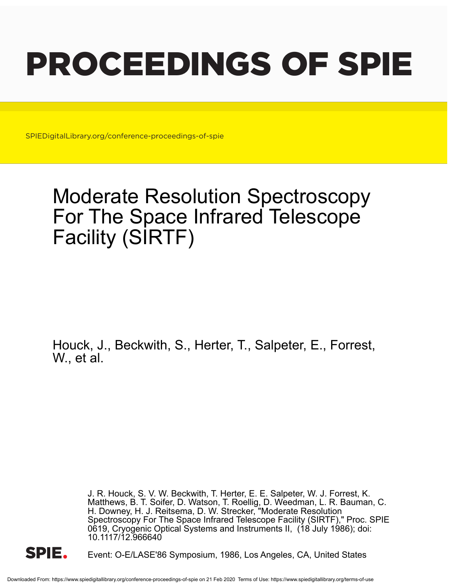# PROCEEDINGS OF SPIE

SPIEDigitalLibrary.org/conference-proceedings-of-spie

# Moderate Resolution Spectroscopy For The Space Infrared Telescope Facility (SIRTF)

Houck, J., Beckwith, S., Herter, T., Salpeter, E., Forrest, W., et al.

> J. R. Houck, S. V. W. Beckwith, T. Herter, E. E. Salpeter, W. J. Forrest, K. Matthews, B. T. Soifer, D. Watson, T. Roellig, D. Weedman, L. R. Bauman, C. H. Downey, H. J. Reitsema, D. W. Strecker, "Moderate Resolution Spectroscopy For The Space Infrared Telescope Facility (SIRTF)," Proc. SPIE 0619, Cryogenic Optical Systems and Instruments II, (18 July 1986); doi: 10.1117/12.966640



Event: O-E/LASE'86 Symposium, 1986, Los Angeles, CA, United States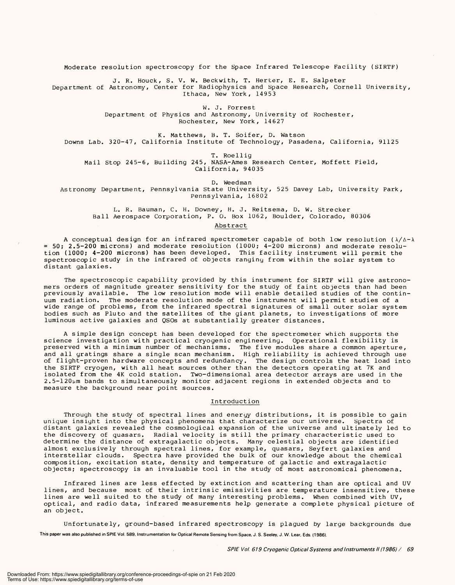Moderate resolution spectroscopy for the Space Infrared Telescope Facility (sIRTF) Moderate resolution spectroscopy for the Space Infrared Telescope Facility (SIRTF)

J. R. Houck, S. V. W. Beckwith, T. Herter, E. E. Salpeter J. R. Houck, S. V. W. Beckwith, T. Herter, E. E. Salpeter Department of Astronomy, Center for Radiophysics and Space Research, Cornell University, Department of Astronomy, Center for Radiophysics and Space Research, Cornell University, Ithaca, New York, 14953 Ithaca, New York, 14953

> W. J. Forrest W. J. Forrest Department of Physics and Astronomy, University of Rochester, Department of Physics and Astronomy, University of Rochester, Rochester, New York, 14627 Rochester, New York, 14627

K. Matthews, B. T. Soifer, D. Watson K. Matthews, B. T. Soifer, D. Watson Downs Lab. 320 -47, California Institute of Technology, Pasadena, California, 91125 Downs Lab. 320-47, California Institute of Technology, Pasadena, California, 91125

T. Roellig T. Roellig Mail Stop 245 -6, Building 245, NASA -Ames Research Center, Moffett Field, Mail Stop 245-6, Building 245, NASA-Ames Research Center, Moffett Field, California, 94035 California, 94035

D. Weedman D. Weedman Astronomy Department, Pennsylvania State University, 525 Davey Lab, University Park, Astronomy Department, Pennsylvania State University, 525 Davey Lab, University Park, Pennsylvania, 16802 Pennsylvania, 16802

L. R. Bauman, C. H. Downey, H. J. Reitsema, D. W. Strecker L. R. Bauman, C. H. Downey, H. J. Reitsema, D. W. Strecker Ball Aerospace Corporation, P. 0. Box 1062, Boulder, Colorado, 80306 Ball Aerospace Corporation, P. O. Box 1062, Boulder, Colorado, 80306

Abstract Abstract

A conceptual design for an infrared spectrometer capable of both low resolution ( $\lambda/\Delta-\lambda$ = 50; 2.5 -200 microns) and moderate resolution (1000; 4 -200 microns) and moderate resolution (1000; 4 -200 microns) has been developed. This facility instrument will permit the spectroscopic study in the infrared of objects ranging from within the solar system to spectroscopic study in the infrared of objects ranging from within the solar system to distant galaxies. distant galaxies. = 50; 2.5-200 microns) and moderate resolution (1000; 4-200 microns) and moderate resolution (1000; 4-200 microns) has been developed. This facility instrument will permit the

The spectroscopic capability provided by this instrument for SIRTF will give astrono-The spectroscopic capability provided by this instrument for SIRTF will give astronomers orders of magnitude greater sensitivity for the study of faint objects than had been previously available. The low resolution mode will enable detailed studies of the continuum radiation. The moderate resolution mode of the instrument will permit studies of a uum radiation. The moderate resolution mode of the instrument will permit studies of a wide range of problems, from the infrared spectral signatures of small outer solar system wide range of problems, from the infrared spectral signatures of small outer solar system bodies such as Pluto and the satellites of the giant planets, to investigations of more bodies such as Pluto and the satellites of the giant planets, to investigations of more luminous active galaxies and QSOs at substantially greater distances. luminous active galaxies and QSOs at substantially greater distances. mers orders of magnitude greater sensitivity for the study of faint objects than had been previously available. The low resolution mode will enable detailed studies of the contin-

A simple design concept has been developed for the spectrometer which supports the A simple design concept has been developed for the spectrometer which supports the science investigation with practical cryogenic engineering. Operational flexibility is science investigation with practical cryogenic engineering. Operational flexibility is preserved with a minimum number of mechanisms. The five modules share a common aperture, and all gratings share a single scan mechanism. High reliability is achieved through use of flight -proven hardware concepts and redundancy. The design controls the heat load into the SIRTF cryogen, with all heat sources other than the detectors operating at 7K and isolated from the 4K cold station. Two-dimensional area detector arrays are used in the  $2.5\text{--}120$ µm bands to simultaneously monitor adjacent regions in extended objects and to measure the background near point sources. measure the background near point sources. preserved with a minimum number of mechanisms. The five modules share a common aperture, and all gratings share a single scan mechanism. High reliability is achieved through use of flight-proven hardware concepts and redundancy. The design controls the heat load into the SIRTF cryogen, with all heat sources other than the detectors operating at 7K and

# Introduction Introduction

Through the study of spectral lines and energy distributions, it is possible to gain Through the study of spectral lines and energy distributions, it is possible to gain unique insight into the physical phenomena that characterize our universe. Spectra of unique insight into the physical phenomena that characterize our universe. Spectra of distant galaxies revealed the cosmological expansion of the universe and ultimately led to distant galaxies revealed the cosmological expansion of the universe and ultimately led to the discovery of quasars. Radial velocity is still the primary characteristic used to the discovery of quasars. Radial velocity is still the primary characteristic used to determine the distance of extragalactic objects. Many celestial objects are identified determine the distance of extragalactic objects. Many celestial objects are identified almost exclusively through spectral lines, for example, quasars, Seyfert galaxies and interstellar clouds. Spectra have provided the bulk of our knowledge about the chemical composition, excitation state, density and temperature of galactic and extragalactic composition, excitation state, density and temperature of galactic and extragalactic objects; spectroscopy is an invaluable tool in the study of most astronomical phenomena. objects; spectroscopy is an invaluable tool in the study of most astronomical phenomena. almost exclusively through spectral lines, for example, quasars, Seyfert galaxies and interstellar clouds. Spectra have provided the bulk of our knowledge about the chemical

Infrared lines are less effected by extinction and scattering than are optical and UV Infrared lines are less effected by extinction and scattering than are optical and UV lines, and because most of their intrinsic emissivities are temperature insensitive, these lines, and because most of their intrinsic emissivities are temperature insensitive, these lines are well suited to the study of many interesting problems. When combined with UV, lines are well suited to the study of many interesting problems. When combined with UV, optical, and radio data, 'infrared measurements help generate a complete physical picture of optical, and radio data, Infrared measurements help generate a complete physical picture of an object. an object.

Unfortunately, ground -based infrared spectroscopy is plagued by large backgrounds due Unfortunately, ground-based infrared spectroscopy is plagued by large backgrounds due This paper was also published in SPIE Vol. 589, Instrumentation for Optical Remote Sensing from Space, J. S. Seeley, J. W. Lear, Eds. (1986).

SPIE Vol 619 Cryogenic Optical Systems and Instruments II (1986) / 69 **SPIE Vol. 619 Cryogenic Optical Systems and Instruments II (1986) / 69**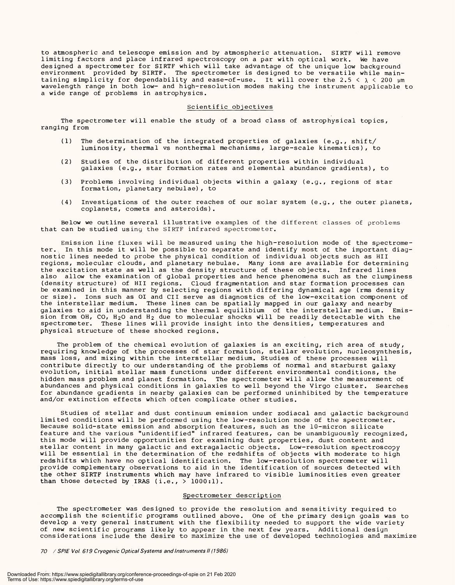to atmospheric and telescope emission and by atmospheric attenuation. SIRTF will remove limiting factors and place infrared spectroscopy on a par with optical work. We have designed a spectrometer for SIRTF which will take advantage of the unique low background designed a spectrometer for SIRTF which will take advantage of the unique low background environment provided by SIRTF. The spectrometer is designed to be versatile while main-environment provided by SIRTF. The spectrometer is designed to be versatile while maintaining simplicity for dependability and ease-of-use. It will cover the 2.5 <  $\lambda$  < 200  $\mu$ m wavelength range in both low- and high -resolution modes making the instrument applicable to wavelength range in both low- and high-resolution modes making the instrument applicable to a wide range of problems in astrophysics. <sup>a</sup>wide range of problems in astrophysics. to atmospheric and telescope emission and by atmospheric attenuation. SIRTF will remove limiting factors and place infrared spectroscopy on a par with optical work. We have

## Scientific objectives Scientific objectives

The spectrometer will enable the study of a broad class of astrophysical topics, The spectrometer will enable the study of a broad class of astrophysical topics, ranging from ranging from

- (1) The determination of the integrated properties of galaxies (e.g., shift/ (1) The determination of the integrated properties of galaxies (e.g., shift/ luminosity, thermal vs nonthermal mechanisms, large -scale kinematics), to luminosity, thermal vs nonthermal mechanisms, large-scale kinematics), to
- (2) Studies of the distribution of different properties within individual (2) Studies of the distribution of different properties within individual galaxies (e.g., star formation rates and elemental abundance gradients), to galaxies (e.g., star formation rates and elemental abundance gradients), to
- (3) Problems involving individual objects within a galaxy (e.g., regions of star (3) Problems involving individual objects within a galaxy (e.g., regions of star formation, planetary nebulae), to formation, planetary nebulae), to
- (4) Investigations of the outer reaches of our solar system (e.g., the outer planets, (4) Investigations of the outer reaches of our solar system (e.g., the outer planets, coplanets, comets and asteroids). coplanets, comets and asteroids).

Below we outline several illustrative examples of the different classes of problems Below we outline several illustrative examples of the different classes of problems that can be studied using the SIRTF infrared spectrometer. that can be studied using the SIRTF infrared spectrometer.

Emission line fluxes will be measured using the high -resolution mode of the spectrome-Emission line fluxes will be measured using the high-resolution mode of the spectrometer. In this mode it will be possible to separate and identify most of the important diag-ter. In this mode it will be possible to separate and identify most of the important diagnostic lines needed to probe the physical condition of individual objects such as HII nostic lines needed to probe the physical condition of individual objects such as HII regions, molecular clouds, and planetary nebulae. Many ions are available for determining regions, molecular clouds, and planetary nebulae. Many ions are available for determining the excitation state as well as the density structure of these objects. Infrared lines the excitation state as well as the density structure of these objects. Infrared lines also allow the examination of global properties and hence phenomena such as the clumpiness also allow the examination of global properties and hence phenomena such as the dumpiness (density structure) of HII regions. Cloud fragmentation and star formation processes can (density structure) of HII regions. Cloud fragmentation and star formation processes can be examined in this manner by selecting regions with differing dynamical age (rms density or size). Ions such as OI and CII serve as diagnostics of the low-excitation component of the interstellar medium. These lines can be spatially mapped in our galaxy and nearby the interstellar medium. These lines can be spatially mapped in our galaxy and nearby galaxies to aid in understanding the thermal equilibium of the interstellar medium. Emis-galaxies to aid in understanding the thermal equilibium of the interstellar medium. Emission from OH, CO, H $_{2}$ O and H $_{2}$  due to molecular shocks Will be readily detectable with the spectrometer. These lines will provide insight into the densities, temperatures and physical structure of these shocked regions. physical structure of these shocked regions. be examined in this manner by selecting regions with differing dynamical age (rms density or size). Ions such as OI and CII serve as diagnostics of the low-excitation component of sion from OH, CO, H $_2$ O and H $_2$  due to molecular shocks Will be readily detectable with the spectrometer. These lines will provide insight into the densities, temperatures and

The problem of the chemical evolution of galaxies is an exciting, rich area of study, requiring knowledge of the processes of star formation, stellar evolution, nucleosynthesis, mass loss, and mixing within the interstellar medium. Studies of these processes will mass loss, and mixing within the interstellar medium. Studies of these processes will contribute directly to our understanding of the problems of normal and starburst galaxy contribute directly to our understanding of the problems of normal and starburst galaxy evolution, initial stellar mass functions under different environmental conditions, the evolution, initial stellar mass functions under different environmental conditions, the hidden mass problem and planet formation. The spectrometer will allow the measurement of hidden mass problem and planet formation. The spectrometer will allow the measurement of abundances and physical conditions in galaxies to well beyond the Virgo cluster. Searches abundances and physical conditions in galaxies to well beyond the Virgo cluster. Searches for abundance gradients in nearby galaxies can be performed uninhibited by the temperature for abundance gradients in nearby galaxies can be performed uninhibited by the temperature and /or extinction effects which often complicate other studies. and/or extinction effects which often complicate other studies. The problem of the chemical evolution of galaxies is an exciting, rich area of study, requiring knowledge of the processes of star formation, stellar evolution, nucleosynthesis,

Studies of stellar and dust continuum emission under zodiacal and galactic background Studies of stellar and dust continuum emission under zodiacal and galactic background limited conditions will be performed using the low- resolution mode of the spectrometer. limited conditions will be performed using the low-resolution mode of the spectrometer. Because solid-state emission and absorption features, such as the 10-micron silicate feature and the various "unidentified" infrared features, can be unambiguously recognized, this mode will provide opportunities for examining dust properties, dust content and this mode will provide opportunities for examining dust properties, dust content and stellar content in many galactic and extragalactic objects. Low -resolution spectroscopy stellar content in many galactic and extragalactic objects. Low-resolution spectroscopy will be essential in the determination of the redshifts of objects with moderate to high will be essential in the determination of the redshifts of objects with moderate to high redshifts which have no optical identification. The low- resolution spectrometer will provide complementary observations to aid in the identification of sources detected with the other SIRTF instruments which may have infrared to visible luminosities even greater the other SIRTF instruments which may have infrared to visible luminosities even greater than those detected by IRAS (i.e., > 1000:1). than those detected by IRAS (i.e., > 1000:1). Because solid-state emission and absorption features, such as the 10-micron silicate feature and the various "unidentified" infrared features, can be unambiguously recognized, redshifts which have no optical identification. The low-resolution spectrometer will provide complementary observations to aid in the identification of sources detected with

## Spectrometer description Spectrometer description

The spectrometer was designed to provide the resolution and sensitivity required to The spectrometer was designed to provide the resolution and sensitivity required to accomplish the scientific programs outlined above. One of the primary design goals was to accomplish the scientific programs outlined above. One of the primary design goals was to develop a very general instrument with the flexibility needed to support the wide variety develop a very general instrument with the flexibility needed to support the wide variety of new scientific programs likely to appear in the next few years. Additional design of new scientific programs likely to appear in the next few years. Additional design considerations include the desire to maximize the use of developed technologies and maximize considerations include the desire to maximize the use of developed technologies and maximize

70  $\,$  / SPIE Vol. 619 Cryogenic Optical Systems and Instruments II (1986)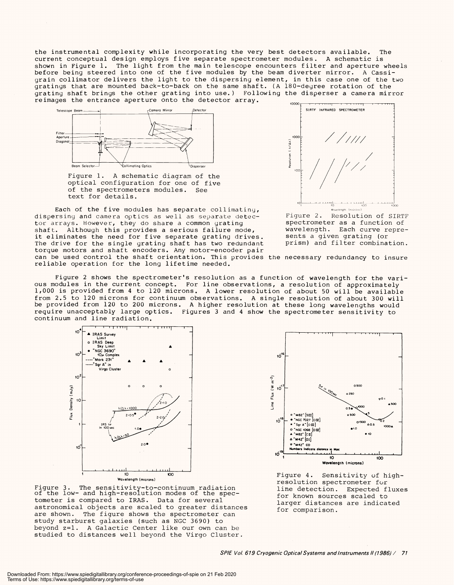the instrumental complexity while incorporating the very best detectors available. The the instrumental complexity while incorporating the very best detectors available. The current conceptual design employs five separate spectrometer modules. A schematic is current conceptual design employs five separate spectrometer modules. A schematic is shown in Figure 1. The light from the main telescope encounters filter and aperture wheels shown in Figure 1. The light from the main telescope encounters filter and aperture wheels before being steered into one of the five modules by the beam diverter mirror. A Cassi-before being steered into one of the five modules by the beam diverter mirror. A Cassigrain collimator delivers the light to the dispersing element, in this case one of the two grain collimator delivers the light to the dispersing element, in this case one of the two gratings that are mounted back-to-back on the same shaft. (A  $180$ -deyree rotation of the grating shaft brings the other grating into use.) Following the disperser a camera mirror reimages the entrance aperture onto the detector array.  $\overline{\phantom{a}}_{\phantom{a}\text{0000}}$ gratings that are mounted back-to-back on the same shaft. (A 180-degree rotation of the grating shaft brings the other grating into use.) Following the disperser <sup>a</sup>camera mirror



Figure 1. A schematic diagram of the Figure 1. A schematic diagram of the optical configuration for one of five optical configuration for one of five of the spectrometers modules. See of the spectrometers modules. See text for details. text for details.

Each of the five modules has separate collimating, Each of the five modules has separate collimatiny, dispersing and camera optics as well as separate detec-dispersing and camera optics as well as separate detector arrays. However, they do share a common grating tor arrays. However, they do share a common grating shaft. Although this provides a serious failure mode,  $\,$   $\,$   $\,$   $\,$   $\,$   $\,$ it eliminates the need for five separate grating  $\mathrm{drives.}$  sen: The drive for the single grating shaft has two redundant  $p$ ri: torque motors and shaft encoders. Any motor -encoder pair torque motors and shaft encoders. Any motor-encoder pair can be used control the shaft orientation. This provides the necessary redundancy to insure can be used control the shaft orientation. This provides the necessary redundancy to insure reliable operation for the long lifetime needed. reliable operation for the long lifetime needed. shaft. Although this provides a serious failure mode, it eliminates the need for five separate grating drives.



Figure 2. Resolution of SIRTF Figure 2. Resolution of SIRTF spectrometer as a function of spectrometer as a function of wavelength. Each curve repre-wavelength. Each curve represents a given grating (or sents a given grating (or prism) and filter combination. prism) and filter combination.

Figure 2 shows the spectrometer's resolution as a function of wavelength for the vari-Figure 2 shows the spectrometer's resolution as a function of wavelength for the various modules in the current concept. For line observations, a resolution of approximately ous modules in the current concept. For line observations, a resolution of approximately 1,000 is provided from 4 to 120 microns. A lower resolution of about 50 will be available 1,000 is provided from 4 to 120 microns. A lower resolution of about 50 will be available from 2.5 to 120 microns for continuum observations. A single resolution of about 300 will from 2.5 to 120 microns for continuum observations. A single resolution of about 300 will be provided from 120 to 200 microns. A higher resolution at these long wavelengths would be provided from 120 to 200 microns. A higher resolution at these long wavelengths would require unacceptably large optics. Figures 3 and 4 show the spectrometer sensitivity to require unacceptably large optics. Figures 3 and 4 show the spectrometer sensitivity to continuum and line radiation. continuum and line radiation.



Figure 3. The sensitivity-to-continuum radiation<br>of the low- and high-resolution modes of the spectometer is compared to IRAS. Data for several tometer is compared to IRAS. Data for several astronomical objects are scaled to greater distances  $\overline{a}$ are shown. The figure shows the spectrometer can are shown. The figure shows the spectrometer can study starburst galaxies (such as NGC 3690) to study starburst galaxies (such as NGC 3690) to beyond z=1. A Galactic Center like our own can be studied to distances well beyond the Virgo Cluster. studied to distances well beyond the Virgo Cluster.



Figure 4. Sensitivity of high - Figure 4. Sensitivity of highresolution spectrometer for resolution spectrometer for line detection. Expected fluxes line detection. Expected fluxes for known sources scaled to for known sources scaled to larger distances are indicated larger distances are indicated for comparison. for comparison.

SPIE Vol 619 Cryogenic Optical Systems and Instruments II (1986) / 71 SPIE Vol. 619 Cryogenic Optical Systems and Instruments II (1986) / <sup>71</sup>